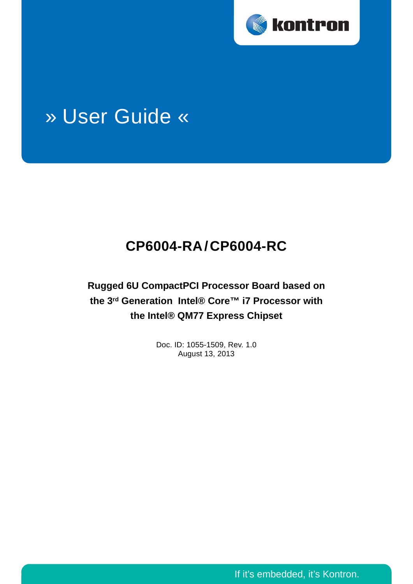

# » User Guide «

## **CP6004-RA/CP6004-RC**

**Rugged 6U CompactPCI Processor Board based on the 3rd Generation Intel® Core™ i7 Processor with the Intel® QM77 Express Chipset**

> Doc. ID: 1055-1509, Rev. 1.0 August 13, 2013

> > If it's embedded, it's Kontron.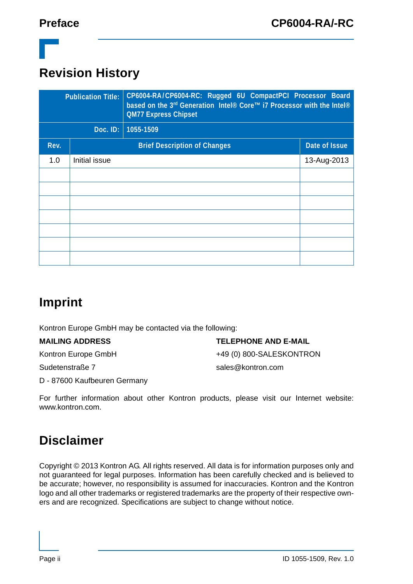## <span id="page-1-0"></span>**Revision History**

| <b>Publication Title:</b> |               | CP6004-RA/CP6004-RC: Rugged 6U CompactPCI Processor Board<br>based on the 3 <sup>rd</sup> Generation Intel® Core™ i7 Processor with the Intel®<br><b>QM77 Express Chipset</b> |               |
|---------------------------|---------------|-------------------------------------------------------------------------------------------------------------------------------------------------------------------------------|---------------|
|                           | Doc. ID:      | 1055-1509                                                                                                                                                                     |               |
| Rev.                      |               | <b>Brief Description of Changes</b>                                                                                                                                           | Date of Issue |
| 1.0                       | Initial issue |                                                                                                                                                                               | 13-Aug-2013   |
|                           |               |                                                                                                                                                                               |               |
|                           |               |                                                                                                                                                                               |               |
|                           |               |                                                                                                                                                                               |               |
|                           |               |                                                                                                                                                                               |               |
|                           |               |                                                                                                                                                                               |               |
|                           |               |                                                                                                                                                                               |               |
|                           |               |                                                                                                                                                                               |               |

## <span id="page-1-1"></span>**Imprint**

Kontron Europe GmbH may be contacted via the following:

**MAILING ADDRESS TELEPHONE AND E-MAIL**

Kontron Europe GmbH +49 (0) 800-SALESKONTRON

Sudetenstraße 7 sales@kontron.com

D - 87600 Kaufbeuren Germany

For further information about other Kontron products, please visit our Internet website: www.kontron.com.

## <span id="page-1-2"></span>**Disclaimer**

Copyright © 2013 Kontron AG. All rights reserved. All data is for information purposes only and not guaranteed for legal purposes. Information has been carefully checked and is believed to be accurate; however, no responsibility is assumed for inaccuracies. Kontron and the Kontron logo and all other trademarks or registered trademarks are the property of their respective owners and are recognized. Specifications are subject to change without notice.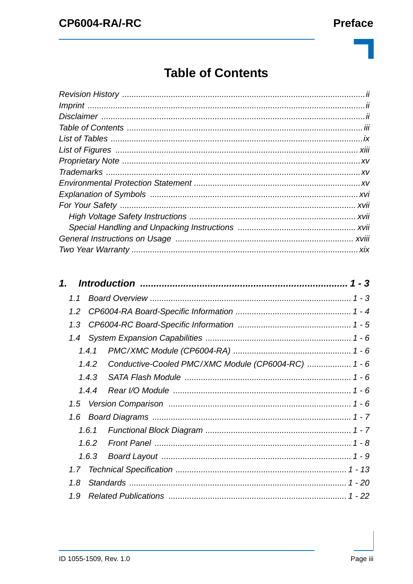## **Table of Contents**

<span id="page-2-0"></span>

| 1. |               |                                                     |  |
|----|---------------|-----------------------------------------------------|--|
|    | 11            |                                                     |  |
|    | 1.2           |                                                     |  |
|    | 1.3           |                                                     |  |
|    |               |                                                     |  |
|    | 1.4.1         |                                                     |  |
|    | 1.4.2         | Conductive-Cooled PMC/XMC Module (CP6004-RC)  1 - 6 |  |
|    | 1.4.3         |                                                     |  |
|    | 144           |                                                     |  |
|    | $1.5^{\circ}$ |                                                     |  |
|    | 1.6           |                                                     |  |
|    |               |                                                     |  |
|    | 1.6.2         |                                                     |  |
|    |               |                                                     |  |
|    | $1.7^{\circ}$ |                                                     |  |
|    | 1.8           |                                                     |  |
|    | 1.9           |                                                     |  |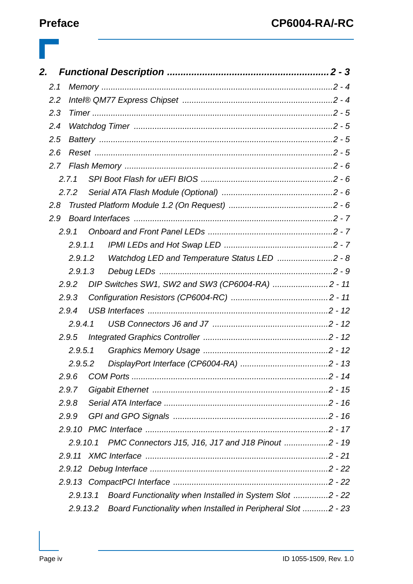## **Preface**

| 2.       |                                                                |
|----------|----------------------------------------------------------------|
| 2.1      |                                                                |
| 2.2      |                                                                |
| 2.3      |                                                                |
| 2.4      |                                                                |
| 2.5      |                                                                |
| 2.6      |                                                                |
|          |                                                                |
| 2.7.1    |                                                                |
| 2.7.2    |                                                                |
| 2.8      |                                                                |
| 2.9      |                                                                |
| 2.9.1    |                                                                |
| 2.9.1.1  |                                                                |
| 2.9.1.2  | Watchdog LED and Temperature Status LED 2 - 8                  |
| 2.9.1.3  |                                                                |
| 2.9.2    | DIP Switches SW1, SW2 and SW3 (CP6004-RA)  2 - 11              |
| 2.9.3    |                                                                |
| 2.9.4    |                                                                |
| 2.9.4.1  |                                                                |
| 2.9.5    |                                                                |
| 2.9.5.1  |                                                                |
| 2.9.5.2  |                                                                |
|          |                                                                |
| 2.9.7    |                                                                |
| 2.9.8    |                                                                |
| 2.9.9    |                                                                |
|          |                                                                |
|          | PMC Connectors J15, J16, J17 and J18 Pinout 2 - 19<br>2.9.10.1 |
| 2.9.11   |                                                                |
| 2.9.12   |                                                                |
|          |                                                                |
| 2.9.13.1 | Board Functionality when Installed in System Slot 2 - 22       |
| 2.9.13.2 | Board Functionality when Installed in Peripheral Slot 2 - 23   |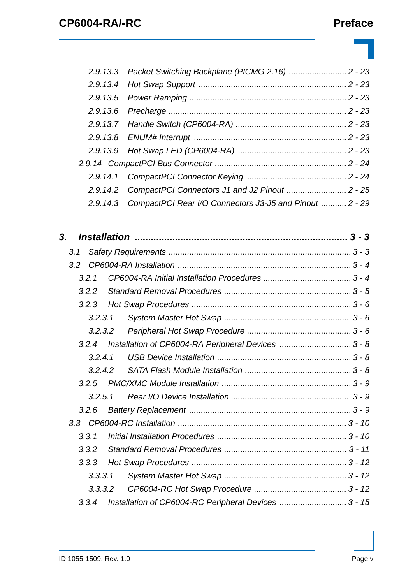| 2.9.13.3 Packet Switching Backplane (PICMG 2.16)  2 - 23         |  |
|------------------------------------------------------------------|--|
|                                                                  |  |
|                                                                  |  |
|                                                                  |  |
|                                                                  |  |
|                                                                  |  |
|                                                                  |  |
|                                                                  |  |
|                                                                  |  |
| 2.9.14.2 CompactPCI Connectors J1 and J2 Pinout  2 - 25          |  |
| 2.9.14.3 CompactPCI Rear I/O Connectors J3-J5 and Pinout  2 - 29 |  |

| 3. |                  |         |         |                                                     |  |
|----|------------------|---------|---------|-----------------------------------------------------|--|
|    | 3.1              |         |         |                                                     |  |
|    | 3.2 <sub>2</sub> |         |         |                                                     |  |
|    |                  | 3.2.1   |         |                                                     |  |
|    |                  | 3.2.2   |         |                                                     |  |
|    |                  | 3.2.3   |         |                                                     |  |
|    |                  | 3.2.3.1 |         |                                                     |  |
|    |                  |         | 3.2.3.2 |                                                     |  |
|    |                  | 3.2.4   |         | Installation of CP6004-RA Peripheral Devices  3 - 8 |  |
|    |                  | 3.2.4.1 |         |                                                     |  |
|    |                  | 3.2.4.2 |         |                                                     |  |
|    |                  | 3.2.5   |         |                                                     |  |
|    |                  | 3.2.5.1 |         |                                                     |  |
|    |                  | 3.2.6   |         |                                                     |  |
|    |                  |         |         |                                                     |  |
|    |                  | 3.3.1   |         |                                                     |  |
|    |                  | 3,3.2   |         |                                                     |  |
|    |                  | 3.3.3   |         |                                                     |  |
|    |                  | 3,3,3,1 |         |                                                     |  |
|    |                  |         | 3.3.3.2 |                                                     |  |
|    |                  | 3.3.4   |         | Installation of CP6004-RC Peripheral Devices 3 - 15 |  |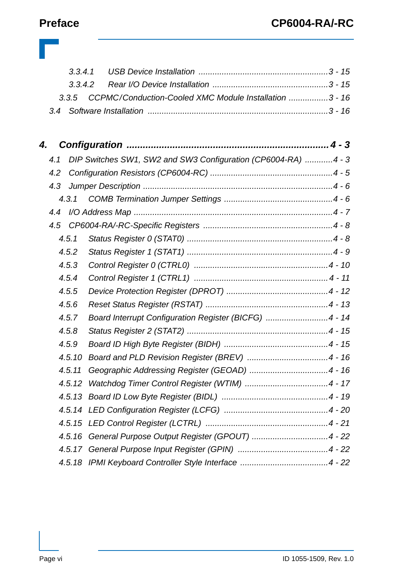$\overline{\phantom{a}}$ 

|    |     | 3.3.4.1 |                                                               |  |
|----|-----|---------|---------------------------------------------------------------|--|
|    |     | 3.3.4.2 |                                                               |  |
|    |     | 3.3.5   | CCPMC/Conduction-Cooled XMC Module Installation 3 - 16        |  |
|    | 3.4 |         |                                                               |  |
|    |     |         |                                                               |  |
| 4. |     |         |                                                               |  |
|    | 4.1 |         | DIP Switches SW1, SW2 and SW3 Configuration (CP6004-RA) 4 - 3 |  |
|    | 4.2 |         |                                                               |  |
|    | 4.3 |         |                                                               |  |
|    |     |         |                                                               |  |
|    | 4.4 |         |                                                               |  |
|    |     |         |                                                               |  |
|    |     | 4.5.1   |                                                               |  |
|    |     | 4.5.2   |                                                               |  |
|    |     | 4.5.3   |                                                               |  |
|    |     | 4.5.4   |                                                               |  |
|    |     | 4.5.5   |                                                               |  |
|    |     | 4.5.6   |                                                               |  |
|    |     | 4.5.7   | Board Interrupt Configuration Register (BICFG) 4 - 14         |  |
|    |     | 4.5.8   |                                                               |  |
|    |     | 4.5.9   |                                                               |  |
|    |     | 4.5.10  |                                                               |  |
|    |     | 4.5.11  |                                                               |  |
|    |     |         |                                                               |  |
|    |     |         |                                                               |  |
|    |     |         |                                                               |  |
|    |     |         |                                                               |  |
|    |     |         | 4.5.16 General Purpose Output Register (GPOUT) 4 - 22         |  |
|    |     |         |                                                               |  |
|    |     |         |                                                               |  |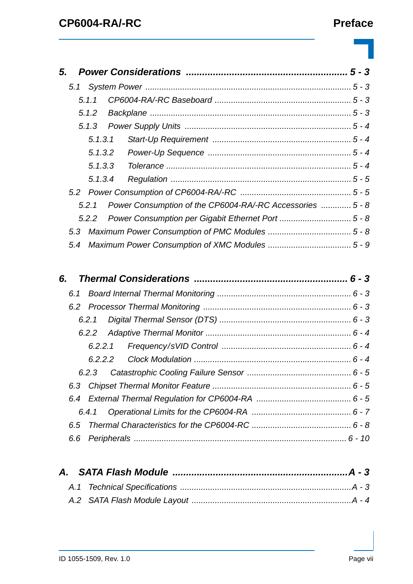| 5.      |                                                           |  |
|---------|-----------------------------------------------------------|--|
| 5.1     |                                                           |  |
| 5.1.1   |                                                           |  |
| 5.1.2   |                                                           |  |
| 5.1.3   |                                                           |  |
| 5.1.3.1 |                                                           |  |
| 5.1.3.2 |                                                           |  |
| 5.1.3.3 |                                                           |  |
| 5.1.3.4 |                                                           |  |
|         |                                                           |  |
| 5.2.1   | Power Consumption of the CP6004-RA/-RC Accessories  5 - 8 |  |
| 5.2.2   |                                                           |  |
| 5.3     |                                                           |  |
| 5.4     |                                                           |  |
|         |                                                           |  |
| 6.      |                                                           |  |
| 6.1     |                                                           |  |
| 6.2     |                                                           |  |
| 6.2.1   |                                                           |  |
| 6.2.2   |                                                           |  |
| 6.2.2.1 |                                                           |  |
| 6.2.2.2 |                                                           |  |
| 6.2.3   |                                                           |  |
|         |                                                           |  |
|         |                                                           |  |

*[6.4 External Thermal Regulation for CP6004-RA ......................................... 6 - 5](#page--1-65) [6.4.1 Operational Limits for the CP6004-RA ........................................... 6 - 7](#page--1-11) [6.5 Thermal Characteristics for the CP6004-RC ........................................... 6 - 8](#page--1-7) [6.6 Peripherals ............................................................................................ 6 - 10](#page--1-7)*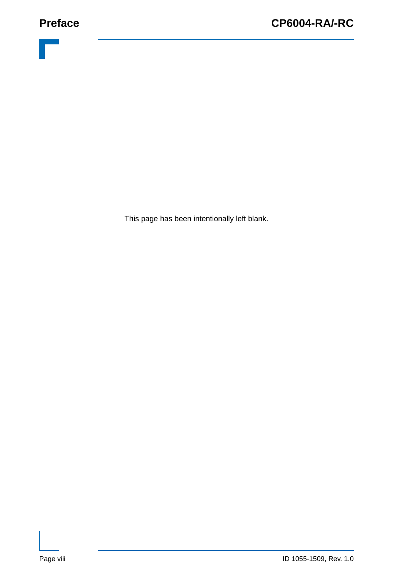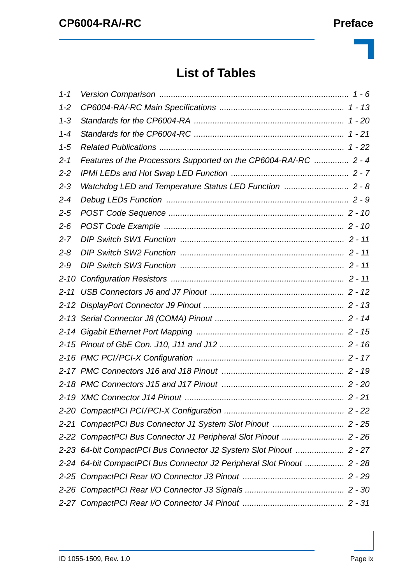## **List of Tables**

<span id="page-8-0"></span>

| $1 - 1$  |                                                                        |
|----------|------------------------------------------------------------------------|
| $1 - 2$  |                                                                        |
| $1 - 3$  |                                                                        |
| $1 - 4$  |                                                                        |
| $1 - 5$  |                                                                        |
| $2 - 1$  | Features of the Processors Supported on the CP6004-RA/-RC  2 - 4       |
| $2 - 2$  |                                                                        |
| $2 - 3$  | Watchdog LED and Temperature Status LED Function  2 - 8                |
| $2 - 4$  |                                                                        |
| $2 - 5$  |                                                                        |
| $2 - 6$  |                                                                        |
| $2 - 7$  |                                                                        |
| $2 - 8$  |                                                                        |
| $2 - 9$  |                                                                        |
| $2 - 10$ |                                                                        |
|          |                                                                        |
|          |                                                                        |
|          |                                                                        |
|          |                                                                        |
|          |                                                                        |
|          |                                                                        |
|          |                                                                        |
|          |                                                                        |
|          |                                                                        |
|          |                                                                        |
|          | 2-21 CompactPCI Bus Connector J1 System Slot Pinout  2 - 25            |
|          |                                                                        |
|          | 2-23 64-bit CompactPCI Bus Connector J2 System Slot Pinout  2 - 27     |
|          | 2-24 64-bit CompactPCI Bus Connector J2 Peripheral Slot Pinout  2 - 28 |
|          |                                                                        |
|          |                                                                        |
|          |                                                                        |
|          |                                                                        |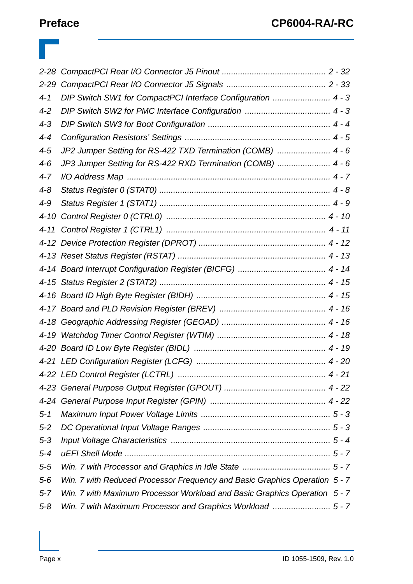| 2-29    |                                                                            |
|---------|----------------------------------------------------------------------------|
| $4 - 1$ | DIP Switch SW1 for CompactPCI Interface Configuration  4 - 3               |
| $4 - 2$ |                                                                            |
| $4 - 3$ |                                                                            |
| $4 - 4$ |                                                                            |
| $4 - 5$ | JP2 Jumper Setting for RS-422 TXD Termination (COMB)  4 - 6                |
| 4-6     | JP3 Jumper Setting for RS-422 RXD Termination (COMB)  4 - 6                |
| $4 - 7$ |                                                                            |
| 4-8     |                                                                            |
| 4-9     |                                                                            |
| 4-10    |                                                                            |
| 4-11    |                                                                            |
|         |                                                                            |
|         |                                                                            |
|         |                                                                            |
|         |                                                                            |
|         |                                                                            |
|         |                                                                            |
|         |                                                                            |
|         |                                                                            |
|         |                                                                            |
|         |                                                                            |
|         |                                                                            |
|         |                                                                            |
|         |                                                                            |
| $5 - 1$ |                                                                            |
| $5-2$   |                                                                            |
| $5 - 3$ |                                                                            |
| $5 - 4$ |                                                                            |
| $5 - 5$ |                                                                            |
| 5-6     | Win. 7 with Reduced Processor Frequency and Basic Graphics Operation 5 - 7 |
| $5 - 7$ | Win. 7 with Maximum Processor Workload and Basic Graphics Operation 5 - 7  |
| $5 - 8$ |                                                                            |
|         |                                                                            |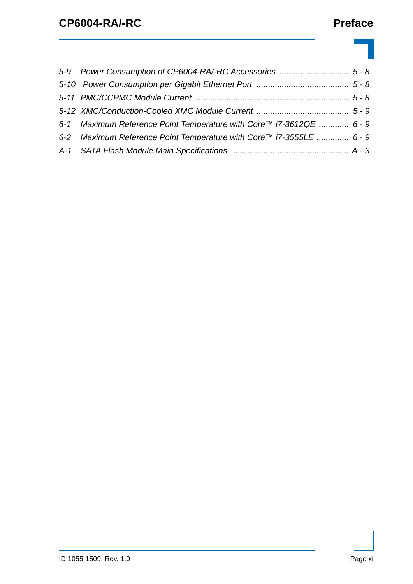| 6-1 Maximum Reference Point Temperature with Core™ i7-3612QE  6 - 9 |  |
|---------------------------------------------------------------------|--|
| 6-2 Maximum Reference Point Temperature with Core™ i7-3555LE  6 - 9 |  |
|                                                                     |  |
|                                                                     |  |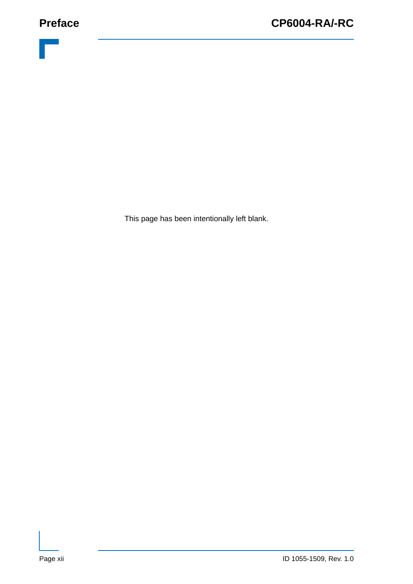This page has been intentionally left blank.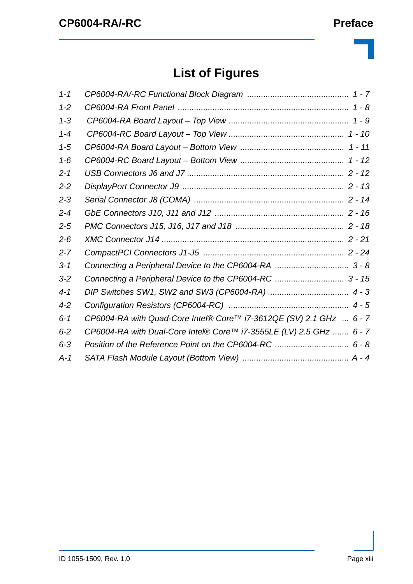## **List of Figures**

<span id="page-12-0"></span>

| $1 - 1$ |                                                                     |
|---------|---------------------------------------------------------------------|
| $1 - 2$ |                                                                     |
| $1 - 3$ |                                                                     |
| $1 - 4$ |                                                                     |
| $1 - 5$ |                                                                     |
| $1 - 6$ |                                                                     |
| $2 - 1$ |                                                                     |
| $2 - 2$ |                                                                     |
| $2 - 3$ |                                                                     |
| $2 - 4$ |                                                                     |
| $2 - 5$ |                                                                     |
| $2 - 6$ |                                                                     |
| $2 - 7$ |                                                                     |
| $3 - 1$ | Connecting a Peripheral Device to the CP6004-RA  3 - 8              |
| $3 - 2$ | Connecting a Peripheral Device to the CP6004-RC  3 - 15             |
| $4 - 1$ |                                                                     |
| $4 - 2$ |                                                                     |
| $6 - 1$ | CP6004-RA with Quad-Core Intel® Core™ i7-3612QE (SV) 2.1 GHz  6 - 7 |
| $6 - 2$ | CP6004-RA with Dual-Core Intel® Core™ i7-3555LE (LV) 2.5 GHz  6 - 7 |
| $6 - 3$ |                                                                     |
| A-1     |                                                                     |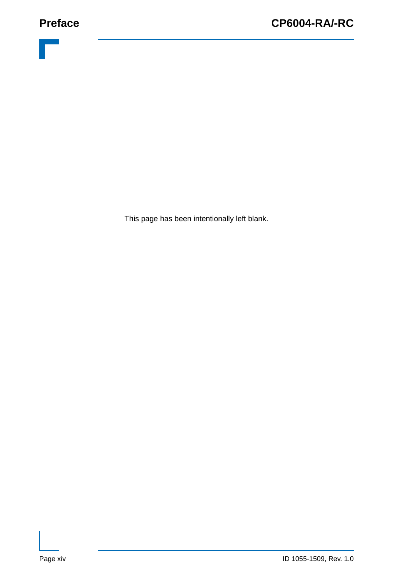This page has been intentionally left blank.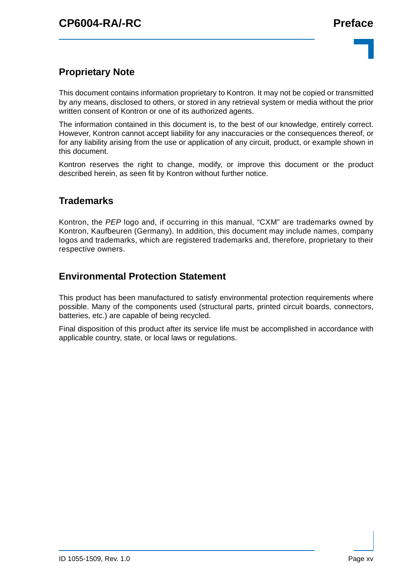

## <span id="page-14-0"></span>**Proprietary Note**

This document contains information proprietary to Kontron. It may not be copied or transmitted by any means, disclosed to others, or stored in any retrieval system or media without the prior written consent of Kontron or one of its authorized agents.

The information contained in this document is, to the best of our knowledge, entirely correct. However, Kontron cannot accept liability for any inaccuracies or the consequences thereof, or for any liability arising from the use or application of any circuit, product, or example shown in this document.

Kontron reserves the right to change, modify, or improve this document or the product described herein, as seen fit by Kontron without further notice.

## <span id="page-14-1"></span>**Trademarks**

Kontron, the *PEP* logo and, if occurring in this manual, "CXM" are trademarks owned by Kontron, Kaufbeuren (Germany). In addition, this document may include names, company logos and trademarks, which are registered trademarks and, therefore, proprietary to their respective owners.

## <span id="page-14-2"></span>**Environmental Protection Statement**

This product has been manufactured to satisfy environmental protection requirements where possible. Many of the components used (structural parts, printed circuit boards, connectors, batteries, etc.) are capable of being recycled.

Final disposition of this product after its service life must be accomplished in accordance with applicable country, state, or local laws or regulations.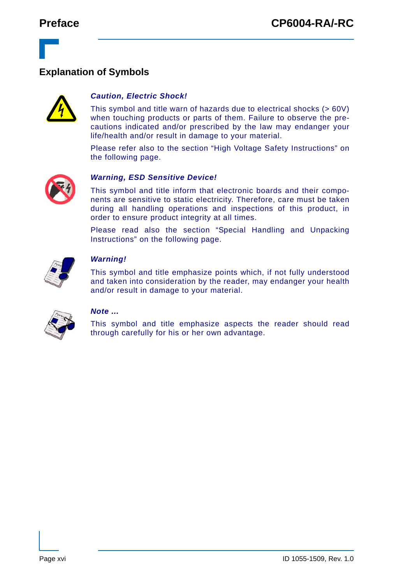## <span id="page-15-0"></span>**Explanation of Symbols**



## *Caution, Electric Shock!*

This symbol and title warn of hazards due to electrical shocks (> 60V) when touching products or parts of them. Failure to observe the precautions indicated and/or prescribed by the law may endanger your life/health and/or result in damage to your material.

Please refer also to the section "High Voltage Safety Instructions" on the following page.



### *Warning, ESD Sensitive Device!*

This symbol and title inform that electronic boards and their components are sensitive to static electricity. Therefore, care must be taken during all handling operations and inspections of this product, in order to ensure product integrity at all times.

Please read also the section "Special Handling and Unpacking Instructions" on the following page.



## *Warning!*

This symbol and title emphasize points which, if not fully understood and taken into consideration by the reader, may endanger your health and/or result in damage to your material.



### *Note ...*

This symbol and title emphasize aspects the reader should read through carefully for his or her own advantage.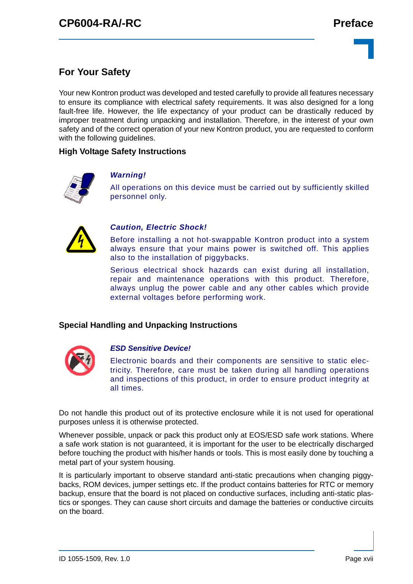## <span id="page-16-0"></span>**For Your Safety**

Your new Kontron product was developed and tested carefully to provide all features necessary to ensure its compliance with electrical safety requirements. It was also designed for a long fault-free life. However, the life expectancy of your product can be drastically reduced by improper treatment during unpacking and installation. Therefore, in the interest of your own safety and of the correct operation of your new Kontron product, you are requested to conform with the following quidelines.

## <span id="page-16-1"></span>**High Voltage Safety Instructions**



### *Warning!*

All operations on this device must be carried out by sufficiently skilled personnel only.



## *Caution, Electric Shock!*

Before installing a not hot-swappable Kontron product into a system always ensure that your mains power is switched off. This applies also to the installation of piggybacks.

Serious electrical shock hazards can exist during all installation, repair and maintenance operations with this product. Therefore, always unplug the power cable and any other cables which provide external voltages before performing work.

### <span id="page-16-2"></span>**Special Handling and Unpacking Instructions**



### *ESD Sensitive Device!*

Electronic boards and their components are sensitive to static electricity. Therefore, care must be taken during all handling operations and inspections of this product, in order to ensure product integrity at all times.

Do not handle this product out of its protective enclosure while it is not used for operational purposes unless it is otherwise protected.

Whenever possible, unpack or pack this product only at EOS/ESD safe work stations. Where a safe work station is not guaranteed, it is important for the user to be electrically discharged before touching the product with his/her hands or tools. This is most easily done by touching a metal part of your system housing.

It is particularly important to observe standard anti-static precautions when changing piggybacks, ROM devices, jumper settings etc. If the product contains batteries for RTC or memory backup, ensure that the board is not placed on conductive surfaces, including anti-static plastics or sponges. They can cause short circuits and damage the batteries or conductive circuits on the board.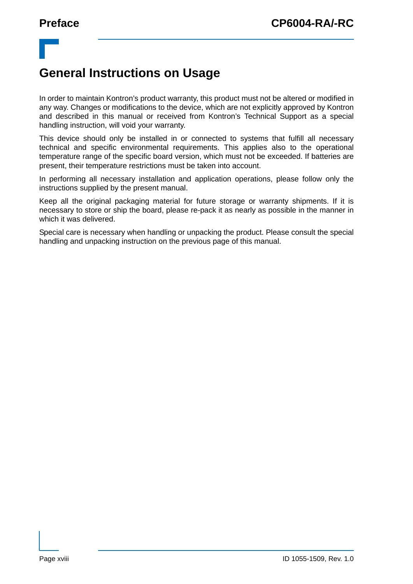## <span id="page-17-0"></span>**General Instructions on Usage**

In order to maintain Kontron's product warranty, this product must not be altered or modified in any way. Changes or modifications to the device, which are not explicitly approved by Kontron and described in this manual or received from Kontron's Technical Support as a special handling instruction, will void your warranty.

This device should only be installed in or connected to systems that fulfill all necessary technical and specific environmental requirements. This applies also to the operational temperature range of the specific board version, which must not be exceeded. If batteries are present, their temperature restrictions must be taken into account.

In performing all necessary installation and application operations, please follow only the instructions supplied by the present manual.

Keep all the original packaging material for future storage or warranty shipments. If it is necessary to store or ship the board, please re-pack it as nearly as possible in the manner in which it was delivered.

Special care is necessary when handling or unpacking the product. Please consult the special handling and unpacking instruction on the previous page of this manual.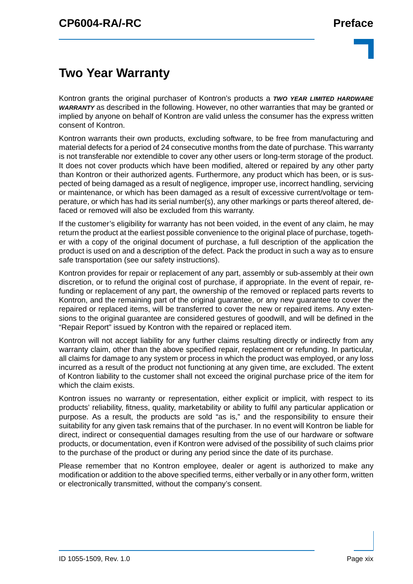## <span id="page-18-0"></span>**Two Year Warranty**

Kontron grants the original purchaser of Kontron's products a *TWO YEAR LIMITED HARDWARE WARRANTY* as described in the following. However, no other warranties that may be granted or implied by anyone on behalf of Kontron are valid unless the consumer has the express written consent of Kontron.

Kontron warrants their own products, excluding software, to be free from manufacturing and material defects for a period of 24 consecutive months from the date of purchase. This warranty is not transferable nor extendible to cover any other users or long-term storage of the product. It does not cover products which have been modified, altered or repaired by any other party than Kontron or their authorized agents. Furthermore, any product which has been, or is suspected of being damaged as a result of negligence, improper use, incorrect handling, servicing or maintenance, or which has been damaged as a result of excessive current/voltage or temperature, or which has had its serial number(s), any other markings or parts thereof altered, defaced or removed will also be excluded from this warranty.

If the customer's eligibility for warranty has not been voided, in the event of any claim, he may return the product at the earliest possible convenience to the original place of purchase, together with a copy of the original document of purchase, a full description of the application the product is used on and a description of the defect. Pack the product in such a way as to ensure safe transportation (see our safety instructions).

Kontron provides for repair or replacement of any part, assembly or sub-assembly at their own discretion, or to refund the original cost of purchase, if appropriate. In the event of repair, refunding or replacement of any part, the ownership of the removed or replaced parts reverts to Kontron, and the remaining part of the original guarantee, or any new guarantee to cover the repaired or replaced items, will be transferred to cover the new or repaired items. Any extensions to the original guarantee are considered gestures of goodwill, and will be defined in the "Repair Report" issued by Kontron with the repaired or replaced item.

Kontron will not accept liability for any further claims resulting directly or indirectly from any warranty claim, other than the above specified repair, replacement or refunding. In particular, all claims for damage to any system or process in which the product was employed, or any loss incurred as a result of the product not functioning at any given time, are excluded. The extent of Kontron liability to the customer shall not exceed the original purchase price of the item for which the claim exists.

Kontron issues no warranty or representation, either explicit or implicit, with respect to its products' reliability, fitness, quality, marketability or ability to fulfil any particular application or purpose. As a result, the products are sold "as is," and the responsibility to ensure their suitability for any given task remains that of the purchaser. In no event will Kontron be liable for direct, indirect or consequential damages resulting from the use of our hardware or software products, or documentation, even if Kontron were advised of the possibility of such claims prior to the purchase of the product or during any period since the date of its purchase.

Please remember that no Kontron employee, dealer or agent is authorized to make any modification or addition to the above specified terms, either verbally or in any other form, written or electronically transmitted, without the company's consent.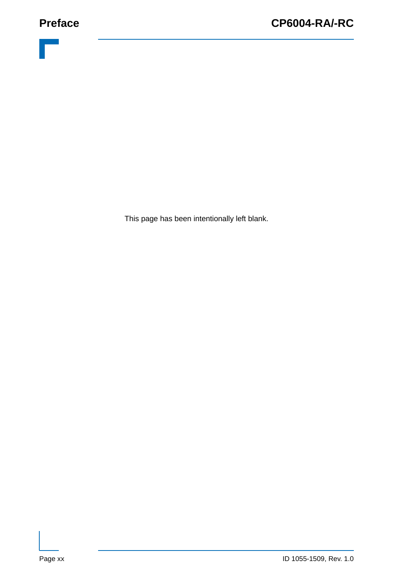This page has been intentionally left blank.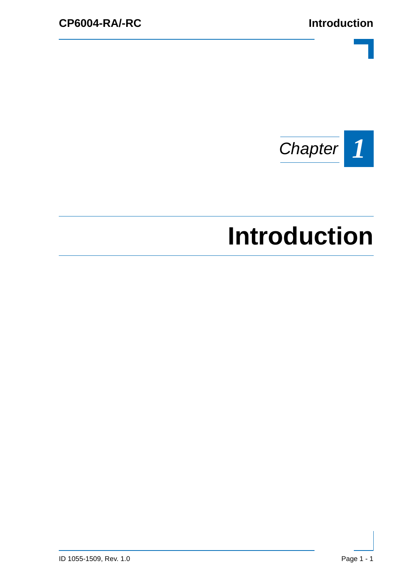

# **Introduction**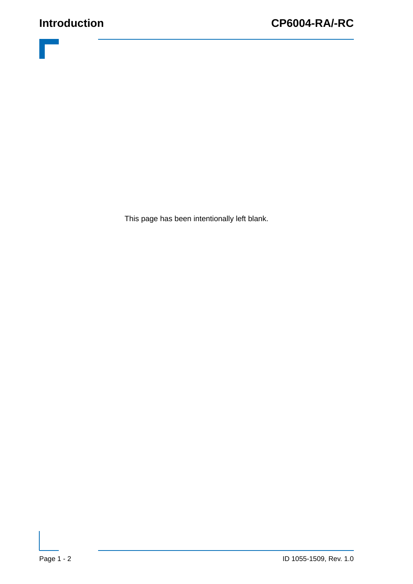$\overline{\phantom{a}}$ 

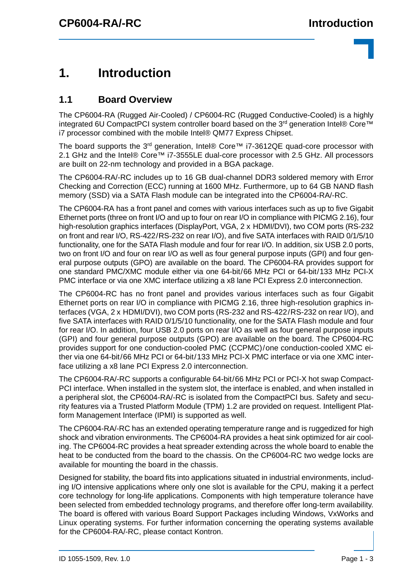

## <span id="page-22-0"></span>**1. Introduction**

## <span id="page-22-1"></span>**1.1 Board Overview**

The CP6004-RA (Rugged Air-Cooled) / CP6004-RC (Rugged Conductive-Cooled) is a highly integrated 6U CompactPCI system controller board based on the 3<sup>rd</sup> generation Intel® Core<sup>™</sup> i7 processor combined with the mobile Intel® QM77 Express Chipset.

The board supports the 3rd generation, Intel® Core™ i7-3612QE quad-core processor with 2.1 GHz and the Intel® Core™ i7-3555LE dual-core processor with 2.5 GHz. All processors are built on 22-nm technology and provided in a BGA package.

The CP6004-RA/-RC includes up to 16 GB dual-channel DDR3 soldered memory with Error Checking and Correction (ECC) running at 1600 MHz. Furthermore, up to 64 GB NAND flash memory (SSD) via a SATA Flash module can be integrated into the CP6004-RA/-RC.

The CP6004-RA has a front panel and comes with various interfaces such as up to five Gigabit Ethernet ports (three on front I/O and up to four on rear I/O in compliance with PICMG 2.16), four high-resolution graphics interfaces (DisplayPort, VGA, 2 x HDMI/DVI), two COM ports (RS-232 on front and rear I/O, RS-422/RS-232 on rear I/O), and five SATA interfaces with RAID 0/1/5/10 functionality, one for the SATA Flash module and four for rear I/O. In addition, six USB 2.0 ports, two on front I/O and four on rear I/O as well as four general purpose inputs (GPI) and four general purpose outputs (GPO) are available on the board. The CP6004-RA provides support for one standard PMC/XMC module either via one 64-bit/66 MHz PCI or 64-bit/133 MHz PCI-X PMC interface or via one XMC interface utilizing a x8 lane PCI Express 2.0 interconnection.

The CP6004-RC has no front panel and provides various interfaces such as four Gigabit Ethernet ports on rear I/O in compliance with PICMG 2.16, three high-resolution graphics interfaces (VGA, 2 x HDMI/DVI), two COM ports (RS-232 and RS-422/RS-232 on rear I/O), and five SATA interfaces with RAID 0/1/5/10 functionality, one for the SATA Flash module and four for rear I/O. In addition, four USB 2.0 ports on rear I/O as well as four general purpose inputs (GPI) and four general purpose outputs (GPO) are available on the board. The CP6004-RC provides support for one conduction-cooled PMC (CCPMC)/one conduction-cooled XMC either via one 64-bit/66 MHz PCI or 64-bit/133 MHz PCI-X PMC interface or via one XMC interface utilizing a x8 lane PCI Express 2.0 interconnection.

The CP6004-RA/-RC supports a configurable 64-bit/66 MHz PCI or PCI-X hot swap Compact-PCI interface. When installed in the system slot, the interface is enabled, and when installed in a peripheral slot, the CP6004-RA/-RC is isolated from the CompactPCI bus. Safety and security features via a Trusted Platform Module (TPM) 1.2 are provided on request. Intelligent Platform Management Interface (IPMI) is supported as well.

The CP6004-RA/-RC has an extended operating temperature range and is ruggedized for high shock and vibration environments. The CP6004-RA provides a heat sink optimized for air cooling. The CP6004-RC provides a heat spreader extending across the whole board to enable the heat to be conducted from the board to the chassis. On the CP6004-RC two wedge locks are available for mounting the board in the chassis.

Designed for stability, the board fits into applications situated in industrial environments, including I/O intensive applications where only one slot is available for the CPU, making it a perfect core technology for long-life applications. Components with high temperature tolerance have been selected from embedded technology programs, and therefore offer long-term availability. The board is offered with various Board Support Packages including Windows, VxWorks and Linux operating systems. For further information concerning the operating systems available for the CP6004-RA/-RC, please contact Kontron.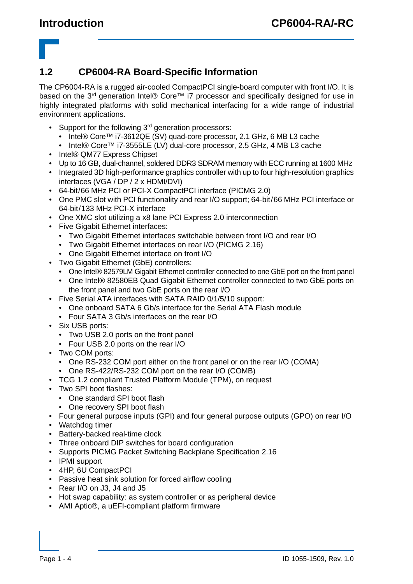

## <span id="page-23-0"></span>**1.2 CP6004-RA Board-Specific Information**

The CP6004-RA is a rugged air-cooled CompactPCI single-board computer with front I/O. It is based on the 3<sup>rd</sup> generation Intel® Core<sup>™</sup> i7 processor and specifically designed for use in highly integrated platforms with solid mechanical interfacing for a wide range of industrial environment applications.

- Support for the following 3<sup>rd</sup> generation processors:
	- Intel® Core™ i7-3612QE (SV) quad-core processor, 2.1 GHz, 6 MB L3 cache
	- Intel® Core™ i7-3555LE (LV) dual-core processor, 2.5 GHz, 4 MB L3 cache
- Intel® QM77 Express Chipset
- Up to 16 GB, dual-channel, soldered DDR3 SDRAM memory with ECC running at 1600 MHz
- Integrated 3D high-performance graphics controller with up to four high-resolution graphics interfaces (VGA / DP / 2 x HDMI/DVI)
- 64-bit/66 MHz PCI or PCI-X CompactPCI interface (PICMG 2.0)
- One PMC slot with PCI functionality and rear I/O support; 64-bit/66 MHz PCI interface or 64-bit/133 MHz PCI-X interface
- One XMC slot utilizing a x8 lane PCI Express 2.0 interconnection
- Five Gigabit Ethernet interfaces:
	- Two Gigabit Ethernet interfaces switchable between front I/O and rear I/O
	- Two Gigabit Ethernet interfaces on rear I/O (PICMG 2.16)
	- One Gigabit Ethernet interface on front I/O
- Two Gigabit Ethernet (GbE) controllers:
	- One Intel® 82579LM Gigabit Ethernet controller connected to one GbE port on the front panel
	- One Intel® 82580EB Quad Gigabit Ethernet controller connected to two GbE ports on the front panel and two GbE ports on the rear I/O
- Five Serial ATA interfaces with SATA RAID 0/1/5/10 support:
	- One onboard SATA 6 Gb/s interface for the Serial ATA Flash module
	- Four SATA 3 Gb/s interfaces on the rear I/O
- Six USB ports:
	- Two USB 2.0 ports on the front panel
	- Four USB 2.0 ports on the rear I/O
- Two COM ports:
	- One RS-232 COM port either on the front panel or on the rear I/O (COMA)
	- One RS-422/RS-232 COM port on the rear I/O (COMB)
- TCG 1.2 compliant Trusted Platform Module (TPM), on request
- Two SPI boot flashes:
	- One standard SPI boot flash
	- One recovery SPI boot flash
- Four general purpose inputs (GPI) and four general purpose outputs (GPO) on rear I/O
- Watchdog timer
- Battery-backed real-time clock
- Three onboard DIP switches for board configuration
- Supports PICMG Packet Switching Backplane Specification 2.16
- IPMI support
- 4HP, 6U CompactPCI
- Passive heat sink solution for forced airflow cooling
- Rear I/O on J3, J4 and J5
- Hot swap capability: as system controller or as peripheral device
- AMI Aptio®, a uEFI-compliant platform firmware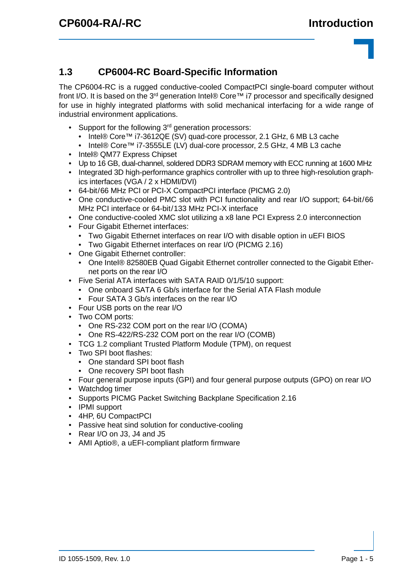

## <span id="page-24-0"></span>**1.3 CP6004-RC Board-Specific Information**

The CP6004-RC is a rugged conductive-cooled CompactPCI single-board computer without front I/O. It is based on the 3<sup>rd</sup> generation Intel® Core™ i7 processor and specifically designed for use in highly integrated platforms with solid mechanical interfacing for a wide range of industrial environment applications.

- Support for the following 3<sup>rd</sup> generation processors:
	- Intel® Core™ i7-3612QE (SV) quad-core processor, 2.1 GHz, 6 MB L3 cache
	- Intel® Core™ i7-3555LE (LV) dual-core processor, 2.5 GHz, 4 MB L3 cache
- Intel® QM77 Express Chipset
- Up to 16 GB, dual-channel, soldered DDR3 SDRAM memory with ECC running at 1600 MHz
- Integrated 3D high-performance graphics controller with up to three high-resolution graphics interfaces (VGA / 2 x HDMI/DVI)
- 64-bit/66 MHz PCI or PCI-X CompactPCI interface (PICMG 2.0)
- One conductive-cooled PMC slot with PCI functionality and rear I/O support; 64-bit/66 MHz PCI interface or 64-bit/133 MHz PCI-X interface
- One conductive-cooled XMC slot utilizing a x8 lane PCI Express 2.0 interconnection
- Four Gigabit Ethernet interfaces:
	- Two Gigabit Ethernet interfaces on rear I/O with disable option in uEFI BIOS
	- Two Gigabit Ethernet interfaces on rear I/O (PICMG 2.16)
- One Gigabit Ethernet controller:
	- One Intel® 82580EB Quad Gigabit Ethernet controller connected to the Gigabit Ethernet ports on the rear I/O
- Five Serial ATA interfaces with SATA RAID 0/1/5/10 support:
	- One onboard SATA 6 Gb/s interface for the Serial ATA Flash module
	- Four SATA 3 Gb/s interfaces on the rear I/O
- Four USB ports on the rear I/O
- Two COM ports:
	- One RS-232 COM port on the rear I/O (COMA)
	- One RS-422/RS-232 COM port on the rear I/O (COMB)
- TCG 1.2 compliant Trusted Platform Module (TPM), on request
- Two SPI boot flashes:
	- One standard SPI boot flash
	- One recovery SPI boot flash
- Four general purpose inputs (GPI) and four general purpose outputs (GPO) on rear I/O
- Watchdog timer
- Supports PICMG Packet Switching Backplane Specification 2.16
- IPMI support
- 4HP, 6U CompactPCI
- Passive heat sind solution for conductive-cooling
- Rear I/O on J3, J4 and J5
- AMI Aptio®, a uEFI-compliant platform firmware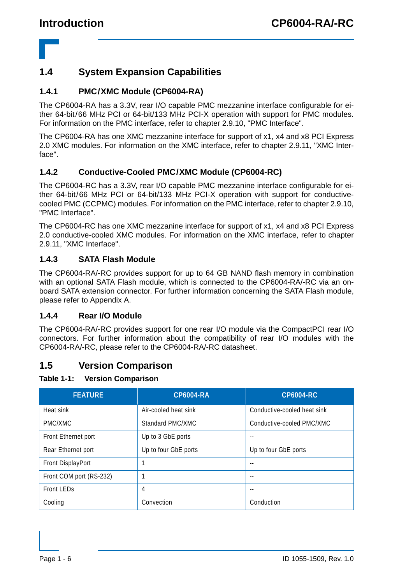

## <span id="page-25-0"></span>**1.4 System Expansion Capabilities**

## <span id="page-25-1"></span>**1.4.1 PMC/XMC Module (CP6004-RA)**

The CP6004-RA has a 3.3V, rear I/O capable PMC mezzanine interface configurable for either 64-bit/66 MHz PCI or 64-bit/133 MHz PCI-X operation with support for PMC modules. For information on the PMC interface, refer to chapter 2.9.10, "PMC Interface".

The CP6004-RA has one XMC mezzanine interface for support of x1, x4 and x8 PCI Express 2.0 XMC modules. For information on the XMC interface, refer to chapter 2.9.11, "XMC Interface".

## <span id="page-25-2"></span>**1.4.2 Conductive-Cooled PMC/XMC Module (CP6004-RC)**

The CP6004-RC has a 3.3V, rear I/O capable PMC mezzanine interface configurable for either 64-bit/66 MHz PCI or 64-bit/133 MHz PCI-X operation with support for conductivecooled PMC (CCPMC) modules. For information on the PMC interface, refer to chapter 2.9.10, "PMC Interface".

The CP6004-RC has one XMC mezzanine interface for support of x1, x4 and x8 PCI Express 2.0 conductive-cooled XMC modules. For information on the XMC interface, refer to chapter 2.9.11, "XMC Interface".

## <span id="page-25-3"></span>**1.4.3 SATA Flash Module**

The CP6004-RA/-RC provides support for up to 64 GB NAND flash memory in combination with an optional SATA Flash module, which is connected to the CP6004-RA/-RC via an onboard SATA extension connector. For further information concerning the SATA Flash module, please refer to Appendix A.

### <span id="page-25-4"></span>**1.4.4 Rear I/O Module**

The CP6004-RA/-RC provides support for one rear I/O module via the CompactPCI rear I/O connectors. For further information about the compatibility of rear I/O modules with the CP6004-RA/-RC, please refer to the CP6004-RA/-RC datasheet.

## <span id="page-25-5"></span>**1.5 Version Comparison**

### <span id="page-25-6"></span>**Table 1-1: Version Comparison**

| <b>FEATURE</b>          | <b>CP6004-RA</b>     | <b>CP6004-RC</b>            |
|-------------------------|----------------------|-----------------------------|
| Heat sink               | Air-cooled heat sink | Conductive-cooled heat sink |
| PMC/XMC                 | Standard PMC/XMC     | Conductive-cooled PMC/XMC   |
| Front Ethernet port     | Up to 3 GbE ports    | $- -$                       |
| Rear Ethernet port      | Up to four GbE ports | Up to four GbE ports        |
| Front DisplayPort       |                      | $- -$                       |
| Front COM port (RS-232) |                      | $-$                         |
| Front LED <sub>S</sub>  | 4                    | $- -$                       |
| Cooling                 | Convection           | Conduction                  |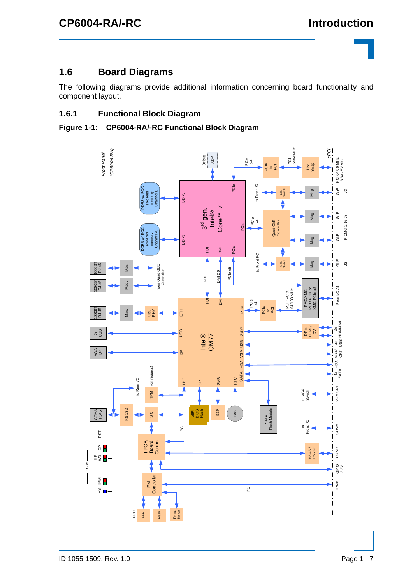

## <span id="page-26-0"></span>**1.6 Board Diagrams**

The following diagrams provide additional information concerning board functionality and component layout.

## <span id="page-26-1"></span>**1.6.1 Functional Block Diagram**

## <span id="page-26-2"></span>**Figure 1-1: CP6004-RA/-RC Functional Block Diagram**

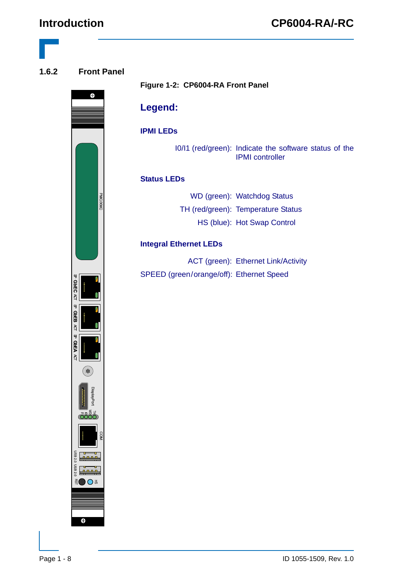IPMI controller

<span id="page-27-1"></span><span id="page-27-0"></span>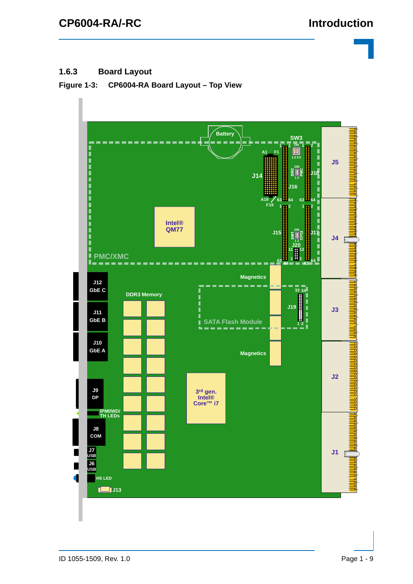

## <span id="page-28-0"></span>**1.6.3 Board Layout**

<span id="page-28-1"></span>**Figure 1-3: CP6004-RA Board Layout – Top View** 

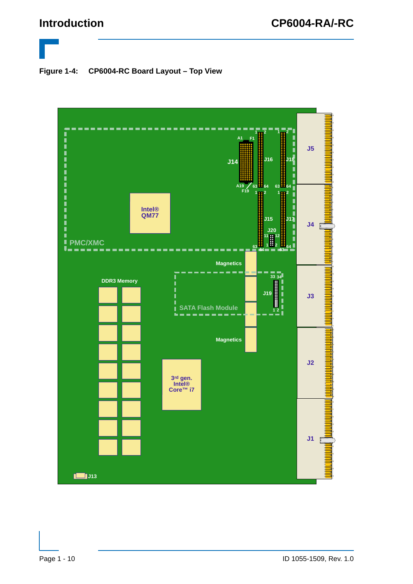## <span id="page-29-0"></span>**Figure 1-4: CP6004-RC Board Layout – Top View**

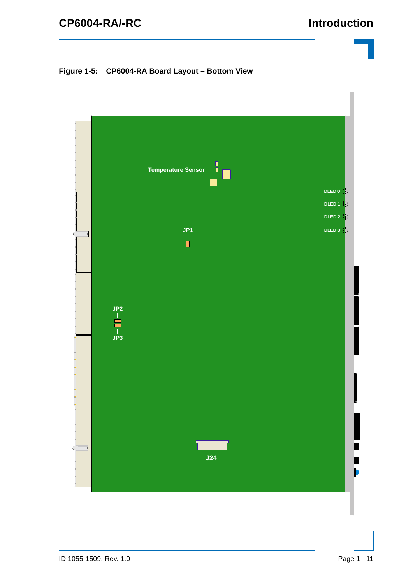## **CP6004-RA/-RC Introduction**

<span id="page-30-0"></span>**Figure 1-5: CP6004-RA Board Layout – Bottom View**

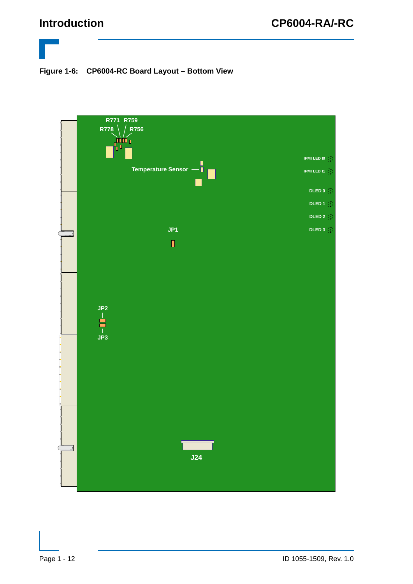

<span id="page-31-0"></span>**Figure 1-6: CP6004-RC Board Layout – Bottom View**

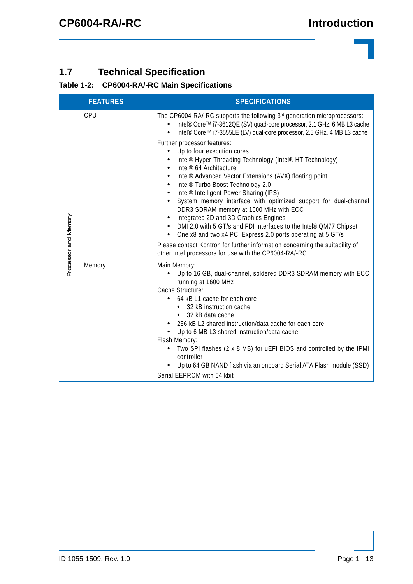## <span id="page-32-0"></span>**1.7 Technical Specification**

## <span id="page-32-1"></span>**Table 1-2: CP6004-RA/-RC Main Specifications**

| <b>FEATURES</b>      |        | <b>SPECIFICATIONS</b>                                                                                                                                                                                                                                                                                                                                                                                                                                                                                                                                                                                                                                                                                                                                                                                                                                                                                                                                                                                                                                                                                              |
|----------------------|--------|--------------------------------------------------------------------------------------------------------------------------------------------------------------------------------------------------------------------------------------------------------------------------------------------------------------------------------------------------------------------------------------------------------------------------------------------------------------------------------------------------------------------------------------------------------------------------------------------------------------------------------------------------------------------------------------------------------------------------------------------------------------------------------------------------------------------------------------------------------------------------------------------------------------------------------------------------------------------------------------------------------------------------------------------------------------------------------------------------------------------|
| Processor and Memory | CPU    | The CP6004-RA/-RC supports the following 3rd generation microprocessors:<br>Intel® Core™ i7-3612QE (SV) quad-core processor, 2.1 GHz, 6 MB L3 cache<br>$\bullet$<br>Intel <sup>®</sup> Core <sup>™</sup> i7-3555LE (LV) dual-core processor, 2.5 GHz, 4 MB L3 cache<br>$\bullet$<br>Further processor features:<br>Up to four execution cores<br>Intel <sup>®</sup> Hyper-Threading Technology (Intel <sup>®</sup> HT Technology)<br>Intel <sup>®</sup> 64 Architecture<br>Intel <sup>®</sup> Advanced Vector Extensions (AVX) floating point<br>Intel <sup>®</sup> Turbo Boost Technology 2.0<br>Intel <sup>®</sup> Intelligent Power Sharing (IPS)<br>$\bullet$<br>System memory interface with optimized support for dual-channel<br>DDR3 SDRAM memory at 1600 MHz with ECC<br>Integrated 2D and 3D Graphics Engines<br>DMI 2.0 with 5 GT/s and FDI interfaces to the Intel® QM77 Chipset<br>One x8 and two x4 PCI Express 2.0 ports operating at 5 GT/s<br>$\bullet$<br>Please contact Kontron for further information concerning the suitability of<br>other Intel processors for use with the CP6004-RA/-RC. |
|                      | Memory | Main Memory:<br>Up to 16 GB, dual-channel, soldered DDR3 SDRAM memory with ECC<br>running at 1600 MHz<br>Cache Structure:<br>64 kB L1 cache for each core<br>$\bullet$<br>• 32 kB instruction cache<br>• 32 kB data cache<br>256 kB L2 shared instruction/data cache for each core<br>Up to 6 MB L3 shared instruction/data cache<br>Flash Memory:<br>Two SPI flashes (2 x 8 MB) for uEFI BIOS and controlled by the IPMI<br>controller<br>Up to 64 GB NAND flash via an onboard Serial ATA Flash module (SSD)<br>Serial EEPROM with 64 kbit                                                                                                                                                                                                                                                                                                                                                                                                                                                                                                                                                                       |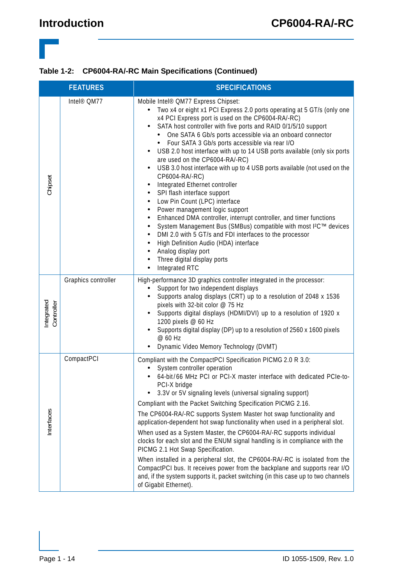$\overline{\phantom{a}}$ 

|  |  | Table 1-2: CP6004-RA/-RC Main Specifications (Continued) |
|--|--|----------------------------------------------------------|
|--|--|----------------------------------------------------------|

|                          | <b>FEATURES</b>         | <b>SPECIFICATIONS</b>                                                                                                                                                                                                                                                                                                                                                                                                                                                                                                                                                                                                                                                                                                                                                                                                                                                                                                                                                                                                                                                                                                                                          |
|--------------------------|-------------------------|----------------------------------------------------------------------------------------------------------------------------------------------------------------------------------------------------------------------------------------------------------------------------------------------------------------------------------------------------------------------------------------------------------------------------------------------------------------------------------------------------------------------------------------------------------------------------------------------------------------------------------------------------------------------------------------------------------------------------------------------------------------------------------------------------------------------------------------------------------------------------------------------------------------------------------------------------------------------------------------------------------------------------------------------------------------------------------------------------------------------------------------------------------------|
| Chipset                  | Intel <sup>®</sup> QM77 | Mobile Intel® QM77 Express Chipset:<br>Two x4 or eight x1 PCI Express 2.0 ports operating at 5 GT/s (only one<br>x4 PCI Express port is used on the CP6004-RA/-RC)<br>SATA host controller with five ports and RAID 0/1/5/10 support<br>• One SATA 6 Gb/s ports accessible via an onboard connector<br>• Four SATA 3 Gb/s ports accessible via rear I/O<br>USB 2.0 host interface with up to 14 USB ports available (only six ports<br>are used on the CP6004-RA/-RC)<br>USB 3.0 host interface with up to 4 USB ports available (not used on the<br>CP6004-RA/-RC)<br>Integrated Ethernet controller<br>$\bullet$<br>SPI flash interface support<br>$\bullet$<br>Low Pin Count (LPC) interface<br>$\bullet$<br>Power management logic support<br>$\bullet$<br>Enhanced DMA controller, interrupt controller, and timer functions<br>$\bullet$<br>System Management Bus (SMBus) compatible with most I <sup>2</sup> C™ devices<br>$\bullet$<br>DMI 2.0 with 5 GT/s and FDI interfaces to the processor<br>$\bullet$<br>High Definition Audio (HDA) interface<br>$\bullet$<br>Analog display port<br>Three digital display ports<br>$\bullet$<br>Integrated RTC |
| Integrated<br>Controller | Graphics controller     | High-performance 3D graphics controller integrated in the processor:<br>Support for two independent displays<br>Supports analog displays (CRT) up to a resolution of 2048 x 1536<br>$\bullet$<br>pixels with 32-bit color @ 75 Hz<br>Supports digital displays (HDMI/DVI) up to a resolution of 1920 x<br>1200 pixels @ 60 Hz<br>Supports digital display (DP) up to a resolution of 2560 x 1600 pixels<br>@ 60 Hz<br>Dynamic Video Memory Technology (DVMT)                                                                                                                                                                                                                                                                                                                                                                                                                                                                                                                                                                                                                                                                                                   |
| Interfaces               | CompactPCI              | Compliant with the CompactPCI Specification PICMG 2.0 R 3.0:<br>System controller operation<br>64-bit/66 MHz PCI or PCI-X master interface with dedicated PCIe-to-<br>PCI-X bridge<br>3.3V or 5V signaling levels (universal signaling support)<br>Compliant with the Packet Switching Specification PICMG 2.16.<br>The CP6004-RA/-RC supports System Master hot swap functionality and<br>application-dependent hot swap functionality when used in a peripheral slot.<br>When used as a System Master, the CP6004-RA/-RC supports individual<br>clocks for each slot and the ENUM signal handling is in compliance with the<br>PICMG 2.1 Hot Swap Specification.<br>When installed in a peripheral slot, the CP6004-RA/-RC is isolated from the<br>CompactPCI bus. It receives power from the backplane and supports rear I/O<br>and, if the system supports it, packet switching (in this case up to two channels<br>of Gigabit Ethernet).                                                                                                                                                                                                                  |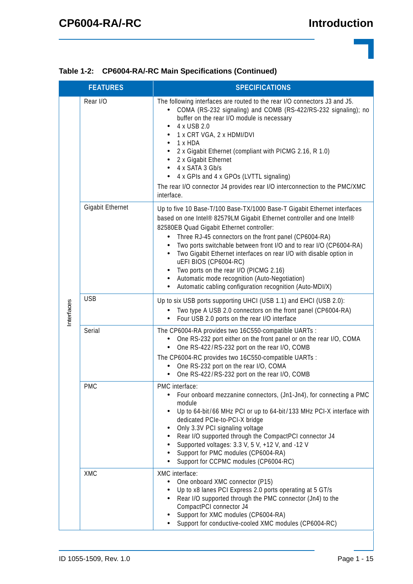

| <b>FEATURES</b> |                  | <b>SPECIFICATIONS</b>                                                                                                                                                                                                                                                                                                                                                                                                                                                                                                                                                                     |
|-----------------|------------------|-------------------------------------------------------------------------------------------------------------------------------------------------------------------------------------------------------------------------------------------------------------------------------------------------------------------------------------------------------------------------------------------------------------------------------------------------------------------------------------------------------------------------------------------------------------------------------------------|
| Interfaces      | Rear I/O         | The following interfaces are routed to the rear I/O connectors J3 and J5.<br>• COMA (RS-232 signaling) and COMB (RS-422/RS-232 signaling); no<br>buffer on the rear I/O module is necessary<br>4 x USB 2.0<br>1 x CRT VGA, 2 x HDMI/DVI<br>1 x HDA<br>2 x Gigabit Ethernet (compliant with PICMG 2.16, R 1.0)<br>2 x Gigabit Ethernet<br>4 x SATA 3 Gb/s<br>4 x GPIs and 4 x GPOs (LVTTL signaling)<br>The rear I/O connector J4 provides rear I/O interconnection to the PMC/XMC<br>interface.                                                                                           |
|                 | Gigabit Ethernet | Up to five 10 Base-T/100 Base-TX/1000 Base-T Gigabit Ethernet interfaces<br>based on one Intel® 82579LM Gigabit Ethernet controller and one Intel®<br>82580EB Quad Gigabit Ethernet controller:<br>Three RJ-45 connectors on the front panel (CP6004-RA)<br>٠<br>Two ports switchable between front I/O and to rear I/O (CP6004-RA)<br>Two Gigabit Ethernet interfaces on rear I/O with disable option in<br>uEFI BIOS (CP6004-RC)<br>Two ports on the rear I/O (PICMG 2.16)<br>Automatic mode recognition (Auto-Negotiation)<br>Automatic cabling configuration recognition (Auto-MDI/X) |
|                 | <b>USB</b>       | Up to six USB ports supporting UHCI (USB 1.1) and EHCI (USB 2.0):<br>Two type A USB 2.0 connectors on the front panel (CP6004-RA)<br>Four USB 2.0 ports on the rear I/O interface                                                                                                                                                                                                                                                                                                                                                                                                         |
|                 | Serial           | The CP6004-RA provides two 16C550-compatible UARTs:<br>One RS-232 port either on the front panel or on the rear I/O, COMA<br>One RS-422/RS-232 port on the rear I/O, COMB<br>٠<br>The CP6004-RC provides two 16C550-compatible UARTs :<br>One RS-232 port on the rear I/O, COMA<br>One RS-422/RS-232 port on the rear I/O, COMB                                                                                                                                                                                                                                                           |
|                 | <b>PMC</b>       | PMC interface:<br>Four onboard mezzanine connectors, (Jn1-Jn4), for connecting a PMC<br>module<br>Up to 64-bit/66 MHz PCI or up to 64-bit/133 MHz PCI-X interface with<br>dedicated PCIe-to-PCI-X bridge<br>Only 3.3V PCI signaling voltage<br>Rear I/O supported through the CompactPCI connector J4<br>Supported voltages: 3.3 V, 5 V, +12 V, and -12 V<br>Support for PMC modules (CP6004-RA)<br>Support for CCPMC modules (CP6004-RC)                                                                                                                                                 |
|                 | <b>XMC</b>       | XMC interface:<br>One onboard XMC connector (P15)<br>Up to x8 lanes PCI Express 2.0 ports operating at 5 GT/s<br>Rear I/O supported through the PMC connector (Jn4) to the<br>CompactPCI connector J4<br>Support for XMC modules (CP6004-RA)<br>Support for conductive-cooled XMC modules (CP6004-RC)                                                                                                                                                                                                                                                                                     |

## **Table 1-2: CP6004-RA/-RC Main Specifications (Continued)**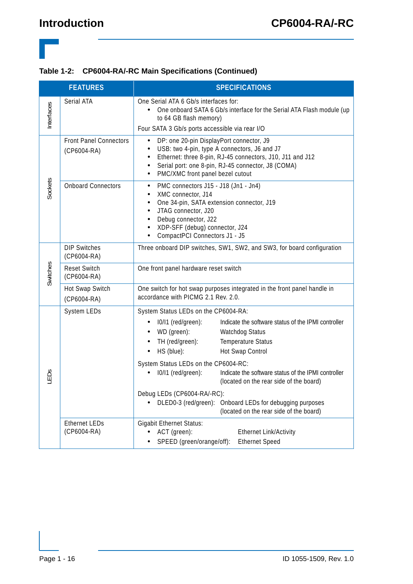| Table 1-2: CP6004-RA/-RC Main Specifications (Continued) |
|----------------------------------------------------------|
|                                                          |

| <b>FEATURES</b> |                                              | <b>SPECIFICATIONS</b>                                                                                                                                                                                                                                                                                                                                                                                                                                                                                                                |
|-----------------|----------------------------------------------|--------------------------------------------------------------------------------------------------------------------------------------------------------------------------------------------------------------------------------------------------------------------------------------------------------------------------------------------------------------------------------------------------------------------------------------------------------------------------------------------------------------------------------------|
| Interfaces      | Serial ATA                                   | One Serial ATA 6 Gb/s interfaces for:<br>One onboard SATA 6 Gb/s interface for the Serial ATA Flash module (up<br>to 64 GB flash memory)<br>Four SATA 3 Gb/s ports accessible via rear I/O                                                                                                                                                                                                                                                                                                                                           |
|                 | <b>Front Panel Connectors</b><br>(CP6004-RA) | DP: one 20-pin DisplayPort connector, J9<br>٠<br>USB: two 4-pin, type A connectors, J6 and J7<br>۰<br>Ethernet: three 8-pin, RJ-45 connectors, J10, J11 and J12<br>٠<br>Serial port: one 8-pin, RJ-45 connector, J8 (COMA)<br>٠<br>PMC/XMC front panel bezel cutout<br>٠                                                                                                                                                                                                                                                             |
| Sockets         | <b>Onboard Connectors</b>                    | PMC connectors J15 - J18 (Jn1 - Jn4)<br>XMC connector, J14<br>One 34-pin, SATA extension connector, J19<br>JTAG connector, J20<br>Debug connector, J22<br>XDP-SFF (debug) connector, J24<br>CompactPCI Connectors J1 - J5                                                                                                                                                                                                                                                                                                            |
|                 | <b>DIP Switches</b><br>(CP6004-RA)           | Three onboard DIP switches, SW1, SW2, and SW3, for board configuration                                                                                                                                                                                                                                                                                                                                                                                                                                                               |
| Switches        | <b>Reset Switch</b><br>(CP6004-RA)           | One front panel hardware reset switch                                                                                                                                                                                                                                                                                                                                                                                                                                                                                                |
|                 | Hot Swap Switch<br>(CP6004-RA)               | One switch for hot swap purposes integrated in the front panel handle in<br>accordance with PICMG 2.1 Rev. 2.0.                                                                                                                                                                                                                                                                                                                                                                                                                      |
| LEDs            | System LEDs                                  | System Status LEDs on the CP6004-RA:<br>I0/I1 (red/green):<br>Indicate the software status of the IPMI controller<br>WD (green):<br>Watchdog Status<br>TH (red/green):<br>Temperature Status<br>HS (blue):<br>Hot Swap Control<br>System Status LEDs on the CP6004-RC:<br>I0/I1 (red/green):<br>Indicate the software status of the IPMI controller<br>(located on the rear side of the board)<br>Debug LEDs (CP6004-RA/-RC):<br>DLED0-3 (red/green): Onboard LEDs for debugging purposes<br>(located on the rear side of the board) |
|                 | <b>Ethernet LEDs</b><br>(CP6004-RA)          | <b>Gigabit Ethernet Status:</b><br>ACT (green):<br><b>Ethernet Link/Activity</b><br>SPEED (green/orange/off):<br><b>Ethernet Speed</b>                                                                                                                                                                                                                                                                                                                                                                                               |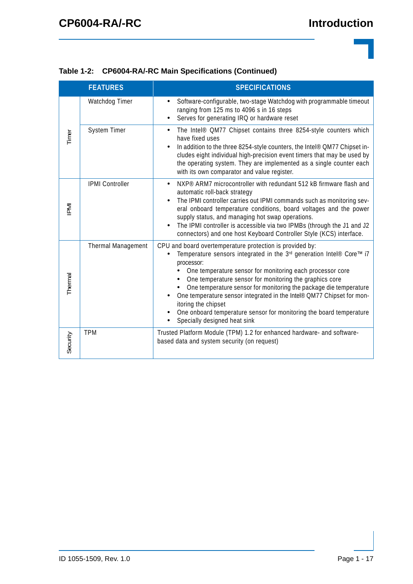

## **Table 1-2: CP6004-RA/-RC Main Specifications (Continued)**

| <b>FEATURES</b> |                           | <b>SPECIFICATIONS</b>                                                                                                                                                                                                                                                                                                                                                                                                                                                                                                                                          |
|-----------------|---------------------------|----------------------------------------------------------------------------------------------------------------------------------------------------------------------------------------------------------------------------------------------------------------------------------------------------------------------------------------------------------------------------------------------------------------------------------------------------------------------------------------------------------------------------------------------------------------|
|                 | Watchdog Timer            | Software-configurable, two-stage Watchdog with programmable timeout<br>ranging from 125 ms to 4096 s in 16 steps<br>Serves for generating IRQ or hardware reset                                                                                                                                                                                                                                                                                                                                                                                                |
| Timer           | System Timer              | The Intel® QM77 Chipset contains three 8254-style counters which<br>have fixed uses<br>In addition to the three 8254-style counters, the Intel® QM77 Chipset in-<br>cludes eight individual high-precision event timers that may be used by<br>the operating system. They are implemented as a single counter each<br>with its own comparator and value register.                                                                                                                                                                                              |
| IMd             | <b>IPMI Controller</b>    | NXP® ARM7 microcontroller with redundant 512 kB firmware flash and<br>automatic roll-back strategy<br>The IPMI controller carries out IPMI commands such as monitoring sev-<br>eral onboard temperature conditions, board voltages and the power<br>supply status, and managing hot swap operations.<br>The IPMI controller is accessible via two IPMBs (through the J1 and J2<br>connectors) and one host Keyboard Controller Style (KCS) interface.                                                                                                          |
| Thermal         | <b>Thermal Management</b> | CPU and board overtemperature protection is provided by:<br>Temperature sensors integrated in the 3 <sup>rd</sup> generation Intel® Core™ i7<br>processor:<br>One temperature sensor for monitoring each processor core<br>One temperature sensor for monitoring the graphics core<br>One temperature sensor for monitoring the package die temperature<br>One temperature sensor integrated in the Intel® QM77 Chipset for mon-<br>itoring the chipset<br>One onboard temperature sensor for monitoring the board temperature<br>Specially designed heat sink |
| Security        | <b>TPM</b>                | Trusted Platform Module (TPM) 1.2 for enhanced hardware- and software-<br>based data and system security (on request)                                                                                                                                                                                                                                                                                                                                                                                                                                          |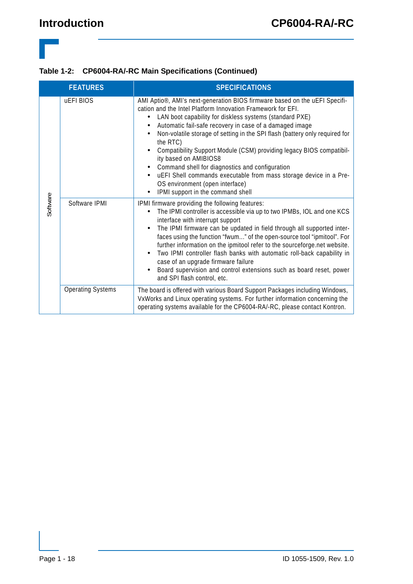| Table 1-2: CP6004-RA/-RC Main Specifications (Continued) |  |
|----------------------------------------------------------|--|
|                                                          |  |

| <b>FEATURES</b> |                            | <b>SPECIFICATIONS</b>                                                                                                                                                                                                                                                                                                                                                                                                                                                                                                                                                                                                                                                                                          |
|-----------------|----------------------------|----------------------------------------------------------------------------------------------------------------------------------------------------------------------------------------------------------------------------------------------------------------------------------------------------------------------------------------------------------------------------------------------------------------------------------------------------------------------------------------------------------------------------------------------------------------------------------------------------------------------------------------------------------------------------------------------------------------|
| Software        | uEFI BIOS<br>Software IPMI | AMI Aptio®, AMI's next-generation BIOS firmware based on the uEFI Specifi-<br>cation and the Intel Platform Innovation Framework for EFI.<br>LAN boot capability for diskless systems (standard PXE)<br>Automatic fail-safe recovery in case of a damaged image<br>Non-volatile storage of setting in the SPI flash (battery only required for<br>the RTC)<br>Compatibility Support Module (CSM) providing legacy BIOS compatibil-<br>ity based on AMIBIOS8<br>Command shell for diagnostics and configuration<br>uEFI Shell commands executable from mass storage device in a Pre-<br>OS environment (open interface)<br>IPMI support in the command shell<br>IPMI firmware providing the following features: |
|                 |                            | The IPMI controller is accessible via up to two IPMBs, IOL and one KCS<br>$\bullet$<br>interface with interrupt support<br>The IPMI firmware can be updated in field through all supported inter-<br>faces using the function "fwum" of the open-source tool "ipmitool". For<br>further information on the ipmitool refer to the sourceforge.net website.<br>Two IPMI controller flash banks with automatic roll-back capability in<br>case of an upgrade firmware failure<br>Board supervision and control extensions such as board reset, power<br>and SPI flash control, etc.                                                                                                                               |
|                 | <b>Operating Systems</b>   | The board is offered with various Board Support Packages including Windows,<br>VxWorks and Linux operating systems. For further information concerning the<br>operating systems available for the CP6004-RA/-RC, please contact Kontron.                                                                                                                                                                                                                                                                                                                                                                                                                                                                       |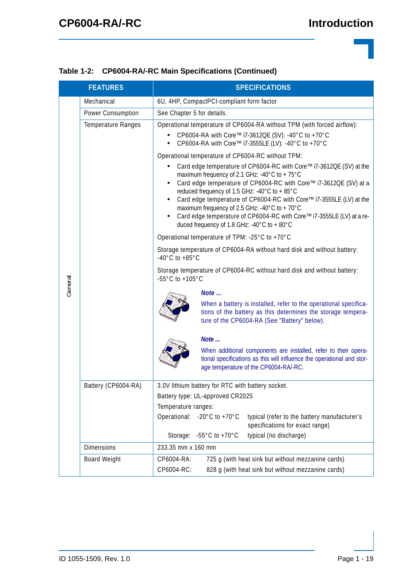

## **Table 1-2: CP6004-RA/-RC Main Specifications (Continued)**

| <b>FEATURES</b> |                     | <b>SPECIFICATIONS</b>                                                                                                                                                                                                                                                                                                                                                                                                                                         |  |  |  |
|-----------------|---------------------|---------------------------------------------------------------------------------------------------------------------------------------------------------------------------------------------------------------------------------------------------------------------------------------------------------------------------------------------------------------------------------------------------------------------------------------------------------------|--|--|--|
| General         | Mechanical          | 6U, 4HP, CompactPCI-compliant form factor                                                                                                                                                                                                                                                                                                                                                                                                                     |  |  |  |
|                 | Power Consumption   | See Chapter 5 for details.                                                                                                                                                                                                                                                                                                                                                                                                                                    |  |  |  |
|                 | Temperature Ranges  | Operational temperature of CP6004-RA without TPM (with forced airflow):<br>CP6004-RA with Core™ i7-3612QE (SV): -40°C to +70°C<br>CP6004-RA with Core™ i7-3555LE (LV): -40°C to +70°C                                                                                                                                                                                                                                                                         |  |  |  |
|                 |                     | Operational temperature of CP6004-RC without TPM:<br>Card edge temperature of CP6004-RC with Core™ i7-3612QE (SV) at the                                                                                                                                                                                                                                                                                                                                      |  |  |  |
|                 |                     | maximum frequency of 2.1 GHz: -40 $^{\circ}$ C to + 75 $^{\circ}$ C<br>Card edge temperature of CP6004-RC with Core™ i7-3612QE (SV) at a<br>reduced frequency of 1.5 GHz: -40°C to + 85°C<br>Card edge temperature of CP6004-RC with Core™ i7-3555LE (LV) at the<br>maximum frequency of 2.5 GHz: -40 $^{\circ}$ C to +70 $^{\circ}$ C<br>Card edge temperature of CP6004-RC with Core™ i7-3555LE (LV) at a re-<br>duced frequency of 1.8 GHz: -40°C to +80°C |  |  |  |
|                 |                     | Operational temperature of TPM: -25°C to +70°C                                                                                                                                                                                                                                                                                                                                                                                                                |  |  |  |
|                 |                     | Storage temperature of CP6004-RA without hard disk and without battery:<br>-40 $^{\circ}$ C to +85 $^{\circ}$ C                                                                                                                                                                                                                                                                                                                                               |  |  |  |
|                 |                     | Storage temperature of CP6004-RC without hard disk and without battery:<br>-55 $^{\circ}$ C to +105 $^{\circ}$ C                                                                                                                                                                                                                                                                                                                                              |  |  |  |
|                 |                     | Note<br>When a battery is installed, refer to the operational specifica-<br>tions of the battery as this determines the storage tempera-<br>ture of the CP6004-RA (See "Battery" below).                                                                                                                                                                                                                                                                      |  |  |  |
|                 |                     | Note                                                                                                                                                                                                                                                                                                                                                                                                                                                          |  |  |  |
|                 |                     | When additional components are installed, refer to their opera-<br>tional specifications as this will influence the operational and stor-<br>age temperature of the CP6004-RA/-RC.                                                                                                                                                                                                                                                                            |  |  |  |
|                 | Battery (CP6004-RA) | 3.0V lithium battery for RTC with battery socket.                                                                                                                                                                                                                                                                                                                                                                                                             |  |  |  |
|                 |                     | Battery type: UL-approved CR2025                                                                                                                                                                                                                                                                                                                                                                                                                              |  |  |  |
|                 |                     | Temperature ranges:<br>Operational: -20°C to +70°C<br>typical (refer to the battery manufacturer's<br>specifications for exact range)                                                                                                                                                                                                                                                                                                                         |  |  |  |
|                 |                     | typical (no discharge)<br>Storage: $-55^{\circ}$ C to $+70^{\circ}$ C                                                                                                                                                                                                                                                                                                                                                                                         |  |  |  |
|                 | Dimensions          | 233.35 mm x 160 mm                                                                                                                                                                                                                                                                                                                                                                                                                                            |  |  |  |
|                 | <b>Board Weight</b> | CP6004-RA:<br>725 g (with heat sink but without mezzanine cards)                                                                                                                                                                                                                                                                                                                                                                                              |  |  |  |
|                 |                     | 828 g (with heat sink but without mezzanine cards)<br>CP6004-RC:                                                                                                                                                                                                                                                                                                                                                                                              |  |  |  |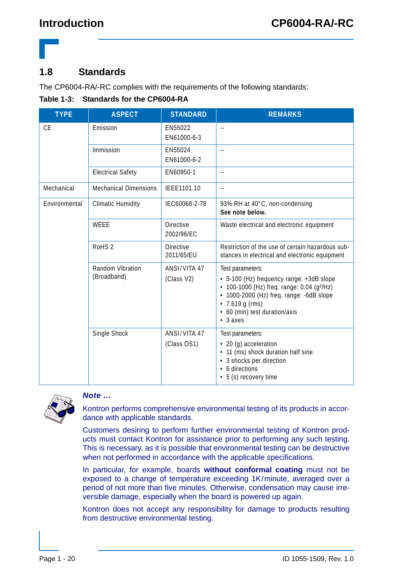## <span id="page-39-0"></span>**1.8 Standards**

The CP6004-RA/-RC complies with the requirements of the following standards:

<span id="page-39-1"></span>**Table 1-3: Standards for the CP6004-RA**

| <b>TYPE</b>   | <b>ASPECT</b>                   | <b>STANDARD</b>                | <b>REMARKS</b>                                                                                                                                                                                                                           |
|---------------|---------------------------------|--------------------------------|------------------------------------------------------------------------------------------------------------------------------------------------------------------------------------------------------------------------------------------|
| <b>CE</b>     | Emission                        | EN55022<br>EN61000-6-3         | $\overline{\phantom{a}}$                                                                                                                                                                                                                 |
|               | Immission                       | EN55024<br>EN61000-6-2         | $\overline{\phantom{a}}$ .                                                                                                                                                                                                               |
|               | <b>Electrical Safety</b>        | EN60950-1                      | $\overline{a}$                                                                                                                                                                                                                           |
| Mechanical    | <b>Mechanical Dimensions</b>    | IEEE1101.10                    | $\overline{a}$                                                                                                                                                                                                                           |
| Environmental | <b>Climatic Humidity</b>        | IEC60068-2-78                  | 93% RH at 40°C, non-condensing<br>See note below.                                                                                                                                                                                        |
|               | WEEE                            | <b>Directive</b><br>2002/96/EC | Waste electrical and electronic equipment                                                                                                                                                                                                |
|               | RoHS <sub>2</sub>               | <b>Directive</b><br>2011/65/EU | Restriction of the use of certain hazardous sub-<br>stances in electrical and electronic equipment                                                                                                                                       |
|               | Random Vibration<br>(Broadband) | ANSI/VITA 47<br>(Class V2)     | Test parameters:<br>• 5-100 (Hz) frequency range: +3dB slope<br>• 100-1000 (Hz) freq. range: 0.04 (g <sup>2</sup> /Hz)<br>• 1000-2000 (Hz) freq. range: -6dB slope<br>• 7.619 g (rms)<br>• 60 (min) test duration/axis<br>$\cdot$ 3 axes |
|               | Single Shock                    | ANSI/VITA 47<br>(Class OS1)    | Test parameters:<br>$\cdot$ 20 (g) acceleration<br>• 11 (ms) shock duration half sine<br>• 3 shocks per direction<br>• 6 directions<br>$\cdot$ 5 (s) recovery time                                                                       |



## *Note ...*

Kontron performs comprehensive environmental testing of its products in accordance with applicable standards.

Customers desiring to perform further environmental testing of Kontron products must contact Kontron for assistance prior to performing any such testing. This is necessary, as it is possible that environmental testing can be destructive when not performed in accordance with the applicable specifications.

In particular, for example, boards **without conformal coating** must not be exposed to a change of temperature exceeding 1K/minute, averaged over a period of not more than five minutes. Otherwise, condensation may cause irreversible damage, especially when the board is powered up again.

Kontron does not accept any responsibility for damage to products resulting from destructive environmental testing.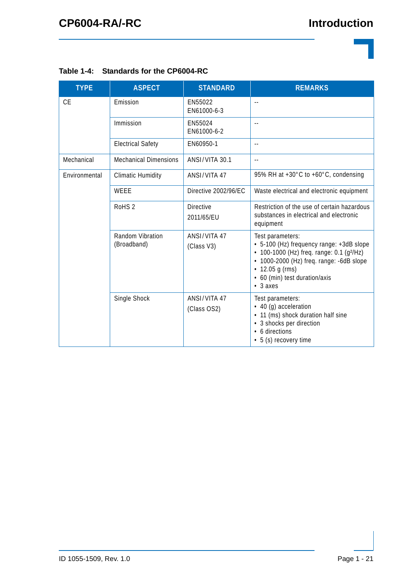

<span id="page-40-0"></span>

| Table 1-4: Standards for the CP6004-RC |  |  |  |
|----------------------------------------|--|--|--|
|                                        |  |  |  |

| <b>TYPE</b>   | <b>ASPECT</b>                   | <b>STANDARD</b>                | <b>REMARKS</b>                                                                                                                                                                                                                              |
|---------------|---------------------------------|--------------------------------|---------------------------------------------------------------------------------------------------------------------------------------------------------------------------------------------------------------------------------------------|
| <b>CE</b>     | Emission                        | EN55022<br>EN61000-6-3         | $-$                                                                                                                                                                                                                                         |
|               | Immission                       | EN55024<br>EN61000-6-2         | $-$                                                                                                                                                                                                                                         |
|               | <b>Electrical Safety</b>        | EN60950-1                      | $-$                                                                                                                                                                                                                                         |
| Mechanical    | <b>Mechanical Dimensions</b>    | ANSI/VITA 30.1                 | $-$                                                                                                                                                                                                                                         |
| Environmental | <b>Climatic Humidity</b>        | ANSI/VITA 47                   | 95% RH at +30°C to +60°C, condensing                                                                                                                                                                                                        |
|               | WEEE                            | Directive 2002/96/EC           | Waste electrical and electronic equipment                                                                                                                                                                                                   |
|               | RoHS <sub>2</sub>               | <b>Directive</b><br>2011/65/EU | Restriction of the use of certain hazardous<br>substances in electrical and electronic<br>equipment                                                                                                                                         |
|               | Random Vibration<br>(Broadband) | ANSI/VITA 47<br>(Class V3)     | Test parameters:<br>• 5-100 (Hz) frequency range: +3dB slope<br>• 100-1000 (Hz) freq. range: 0.1 (g <sup>2</sup> /Hz)<br>1000-2000 (Hz) freq. range: -6dB slope<br>$\cdot$ 12.05 g (rms)<br>• 60 (min) test duration/axis<br>$\cdot$ 3 axes |
|               | Single Shock                    | ANSI/VITA 47<br>(Class OS2)    | Test parameters:<br>• 40 (g) acceleration<br>• 11 (ms) shock duration half sine<br>• 3 shocks per direction<br>6 directions<br>$\cdot$ 5 (s) recovery time                                                                                  |